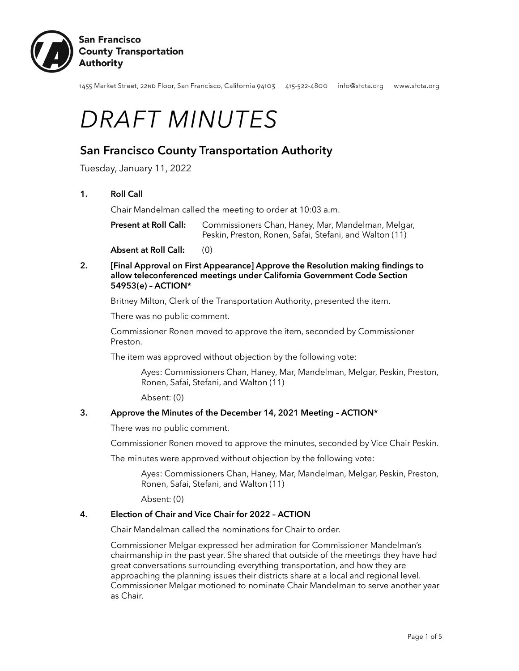

1455 Market Street, 22nD Floor, San Francisco, California 94103 415-522-4800 info@sfcta.org www.sfcta.org

# *DRAFT MINUTES*

# San Francisco County Transportation Authority

Tuesday, January 11, 2022

# 1. Roll Call

Chair Mandelman called the meeting to order at 10:03 a.m.

Present at Roll Call: Commissioners Chan, Haney, Mar, Mandelman, Melgar, Peskin, Preston, Ronen, Safai, Stefani, and Walton (11)

Absent at Roll Call: (0)

# 2. [Final Approval on First Appearance] Approve the Resolution making findings to allow teleconferenced meetings under California Government Code Section 54953(e) – ACTION\*

Britney Milton, Clerk of the Transportation Authority, presented the item.

There was no public comment.

Commissioner Ronen moved to approve the item, seconded by Commissioner Preston.

The item was approved without objection by the following vote:

Ayes: Commissioners Chan, Haney, Mar, Mandelman, Melgar, Peskin, Preston, Ronen, Safai, Stefani, and Walton (11)

Absent: (0)

#### 3. Approve the Minutes of the December 14, 2021 Meeting – ACTION\*

There was no public comment.

Commissioner Ronen moved to approve the minutes, seconded by Vice Chair Peskin.

The minutes were approved without objection by the following vote:

Ayes: Commissioners Chan, Haney, Mar, Mandelman, Melgar, Peskin, Preston, Ronen, Safai, Stefani, and Walton (11)

Absent: (0)

#### 4. Election of Chair and Vice Chair for 2022 – ACTION

Chair Mandelman called the nominations for Chair to order.

Commissioner Melgar expressed her admiration for Commissioner Mandelman's chairmanship in the past year. She shared that outside of the meetings they have had great conversations surrounding everything transportation, and how they are approaching the planning issues their districts share at a local and regional level. Commissioner Melgar motioned to nominate Chair Mandelman to serve another year as Chair.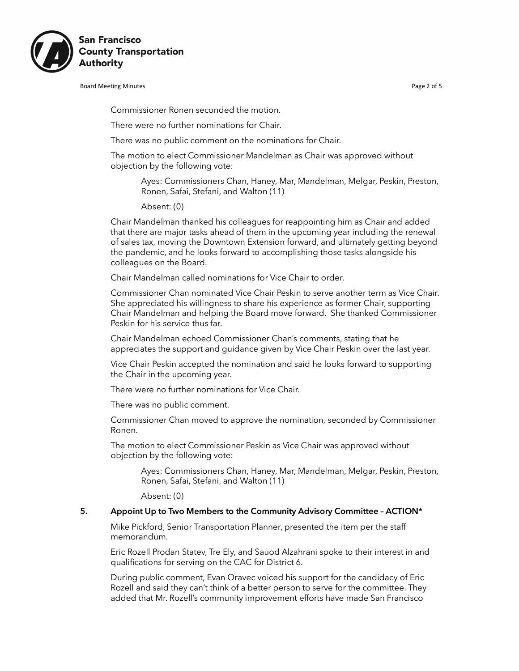

Board Meeting Minutes **Page 2 of 5** and the extent of the extent of the extent of the Page 2 of 5

Commissioner Ronen seconded the motion.

There were no further nominations for Chair.

There was no public comment on the nominations for Chair.

The motion to elect Commissioner Mandelman as Chair was approved without objection by the following vote:

Ayes: Commissioners Chan, Haney, Mar, Mandelman, Melgar, Peskin, Preston, Ronen, Safai, Stefani, and Walton (11)

Absent: (0)

Chair Mandelman thanked his colleagues for reappointing him as Chair and added that there are major tasks ahead of them in the upcoming year including the renewal of sales tax, moving the Downtown Extension forward, and ultimately getting beyond the pandemic, and he looks forward to accomplishing those tasks alongside his colleagues on the Board.

Chair Mandelman called nominations for Vice Chair to order.

Commissioner Chan nominated Vice Chair Peskin to serve another term as Vice Chair. She appreciated his willingness to share his experience as former Chair, supporting Chair Mandelman and helping the Board move forward. She thanked Commissioner Peskin for his service thus far.

Chair Mandelman echoed Commissioner Chan's comments, stating that he appreciates the support and guidance given by Vice Chair Peskin over the last year.

Vice Chair Peskin accepted the nomination and said he looks forward to supporting the Chair in the upcoming year.

There were no further nominations for Vice Chair.

There was no public comment.

Commissioner Chan moved to approve the nomination, seconded by Commissioner Ronen.

The motion to elect Commissioner Peskin as Vice Chair was approved without objection by the following vote:

Ayes: Commissioners Chan, Haney, Mar, Mandelman, Melgar, Peskin, Preston, Ronen, Safai, Stefani, and Walton (11)

Absent: (0)

#### 5. Appoint Up to Two Members to the Community Advisory Committee – ACTION\*

Mike Pickford, Senior Transportation Planner, presented the item per the staff memorandum.

Eric Rozell Prodan Statev, Tre Ely, and Sauod Alzahrani spoke to their interest in and qualifications for serving on the CAC for District 6.

During public comment, Evan Oravec voiced his support for the candidacy of Eric Rozell and said they can't think of a better person to serve for the committee. They added that Mr. Rozell's community improvement efforts have made San Francisco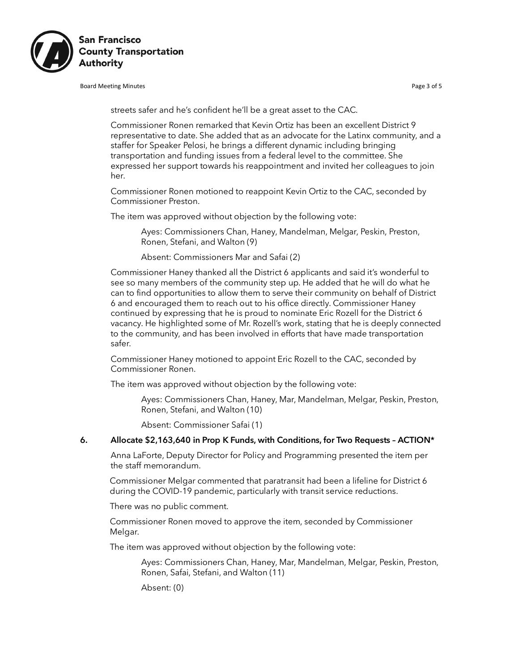

Board Meeting Minutes **Page 3 of 5** and the set of the set of the set of the set of the set of the set of the set of the set of the set of the set of the set of the set of the set of the set of the set of the set of the se

streets safer and he's confident he'll be a great asset to the CAC.

Commissioner Ronen remarked that Kevin Ortiz has been an excellent District 9 representative to date. She added that as an advocate for the Latinx community, and a staffer for Speaker Pelosi, he brings a different dynamic including bringing transportation and funding issues from a federal level to the committee. She expressed her support towards his reappointment and invited her colleagues to join her.

Commissioner Ronen motioned to reappoint Kevin Ortiz to the CAC, seconded by Commissioner Preston.

The item was approved without objection by the following vote:

Ayes: Commissioners Chan, Haney, Mandelman, Melgar, Peskin, Preston, Ronen, Stefani, and Walton (9)

Absent: Commissioners Mar and Safai (2)

Commissioner Haney thanked all the District 6 applicants and said it's wonderful to see so many members of the community step up. He added that he will do what he can to find opportunities to allow them to serve their community on behalf of District 6 and encouraged them to reach out to his office directly. Commissioner Haney continued by expressing that he is proud to nominate Eric Rozell for the District 6 vacancy. He highlighted some of Mr. Rozell's work, stating that he is deeply connected to the community, and has been involved in efforts that have made transportation safer.

Commissioner Haney motioned to appoint Eric Rozell to the CAC, seconded by Commissioner Ronen.

The item was approved without objection by the following vote:

Ayes: Commissioners Chan, Haney, Mar, Mandelman, Melgar, Peskin, Preston, Ronen, Stefani, and Walton (10)

Absent: Commissioner Safai (1)

#### 6. Allocate \$2,163,640 in Prop K Funds, with Conditions, for Two Requests – ACTION\*

Anna LaForte, Deputy Director for Policy and Programming presented the item per the staff memorandum.

Commissioner Melgar commented that paratransit had been a lifeline for District 6 during the COVID-19 pandemic, particularly with transit service reductions.

There was no public comment.

Commissioner Ronen moved to approve the item, seconded by Commissioner Melgar.

The item was approved without objection by the following vote:

Ayes: Commissioners Chan, Haney, Mar, Mandelman, Melgar, Peskin, Preston, Ronen, Safai, Stefani, and Walton (11)

Absent: (0)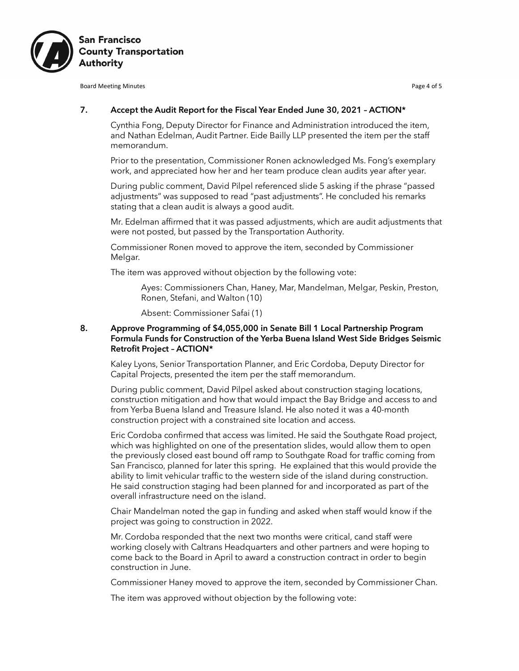

Board Meeting Minutes **Page 4 of 5** and the extent of the extent of the extent of the Page 4 of 5

# 7. Accept the Audit Report for the Fiscal Year Ended June 30, 2021 - ACTION\*

Cynthia Fong, Deputy Director for Finance and Administration introduced the item, and Nathan Edelman, Audit Partner. Eide Bailly LLP presented the item per the staff memorandum.

Prior to the presentation, Commissioner Ronen acknowledged Ms. Fong's exemplary work, and appreciated how her and her team produce clean audits year after year.

During public comment, David Pilpel referenced slide 5 asking if the phrase "passed adjustments" was supposed to read "past adjustments". He concluded his remarks stating that a clean audit is always a good audit.

Mr. Edelman affirmed that it was passed adjustments, which are audit adjustments that were not posted, but passed by the Transportation Authority.

Commissioner Ronen moved to approve the item, seconded by Commissioner Melgar.

The item was approved without objection by the following vote:

Ayes: Commissioners Chan, Haney, Mar, Mandelman, Melgar, Peskin, Preston, Ronen, Stefani, and Walton (10)

Absent: Commissioner Safai (1)

## 8. Approve Programming of \$4,055,000 in Senate Bill 1 Local Partnership Program Formula Funds for Construction of the Yerba Buena Island West Side Bridges Seismic Retrofit Project – ACTION\*

Kaley Lyons, Senior Transportation Planner, and Eric Cordoba, Deputy Director for Capital Projects, presented the item per the staff memorandum.

During public comment, David Pilpel asked about construction staging locations, construction mitigation and how that would impact the Bay Bridge and access to and from Yerba Buena Island and Treasure Island. He also noted it was a 40-month construction project with a constrained site location and access.

Eric Cordoba confirmed that access was limited. He said the Southgate Road project, which was highlighted on one of the presentation slides, would allow them to open the previously closed east bound off ramp to Southgate Road for traffic coming from San Francisco, planned for later this spring. He explained that this would provide the ability to limit vehicular traffic to the western side of the island during construction. He said construction staging had been planned for and incorporated as part of the overall infrastructure need on the island.

Chair Mandelman noted the gap in funding and asked when staff would know if the project was going to construction in 2022.

Mr. Cordoba responded that the next two months were critical, cand staff were working closely with Caltrans Headquarters and other partners and were hoping to come back to the Board in April to award a construction contract in order to begin construction in June.

Commissioner Haney moved to approve the item, seconded by Commissioner Chan.

The item was approved without objection by the following vote: